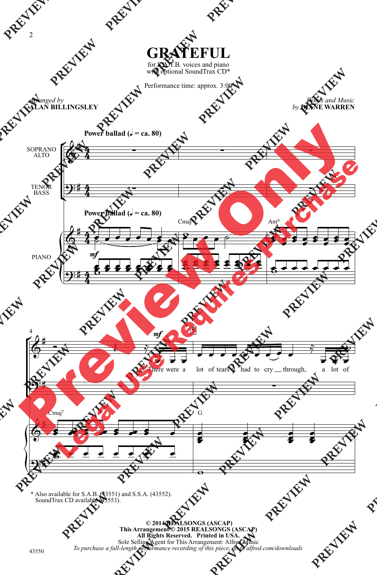## **GRATEFUL**

for S.A.T.B. voices and piano with optional SoundTrax CD\*

Performance time: approx. 3:00







\* Also available for S.A.B. (43551) and S.S.A. (43552). SoundTrax CD available (43553).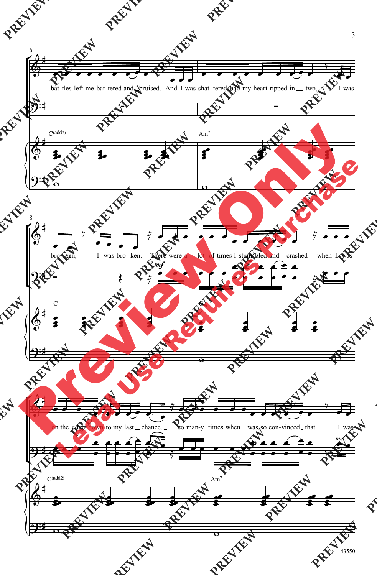

43550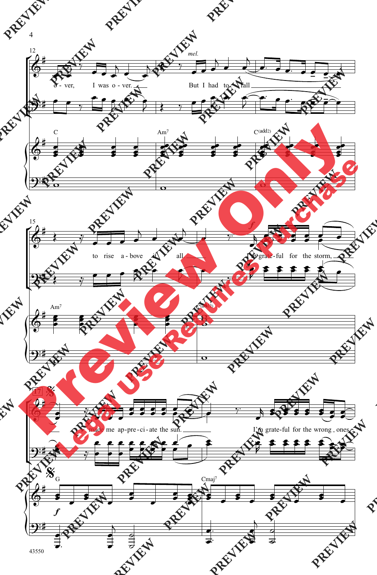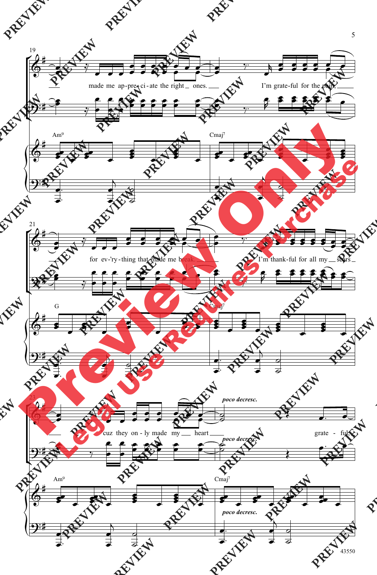

5

43550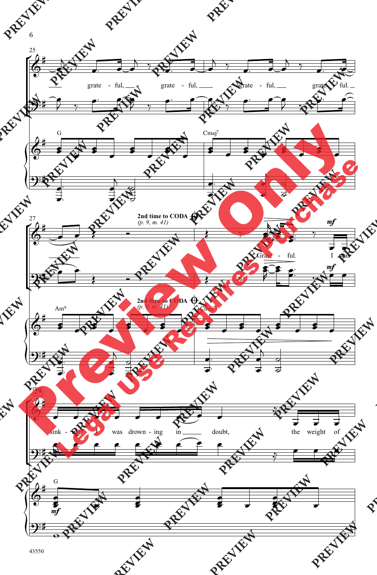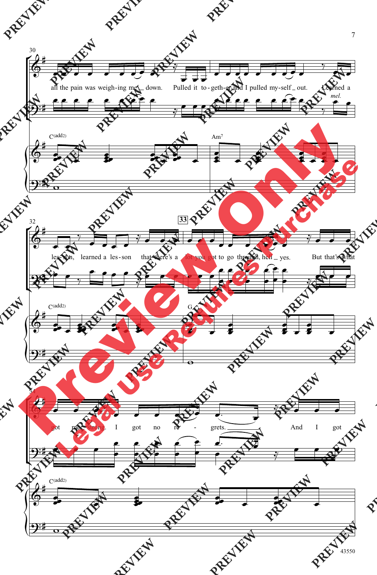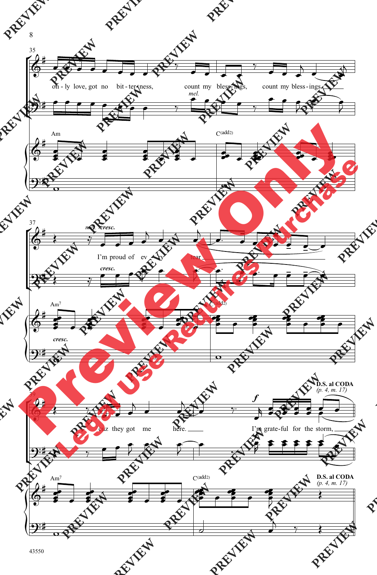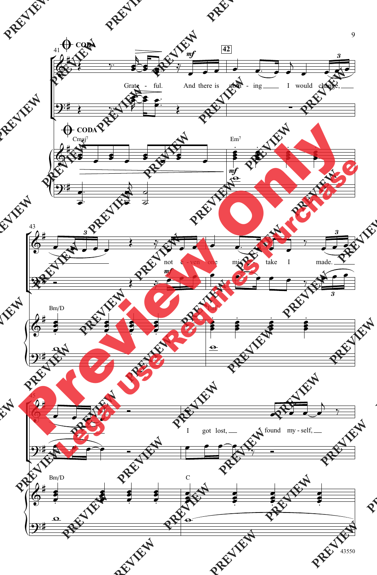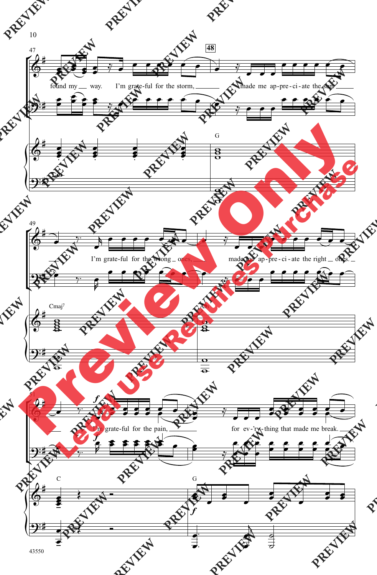